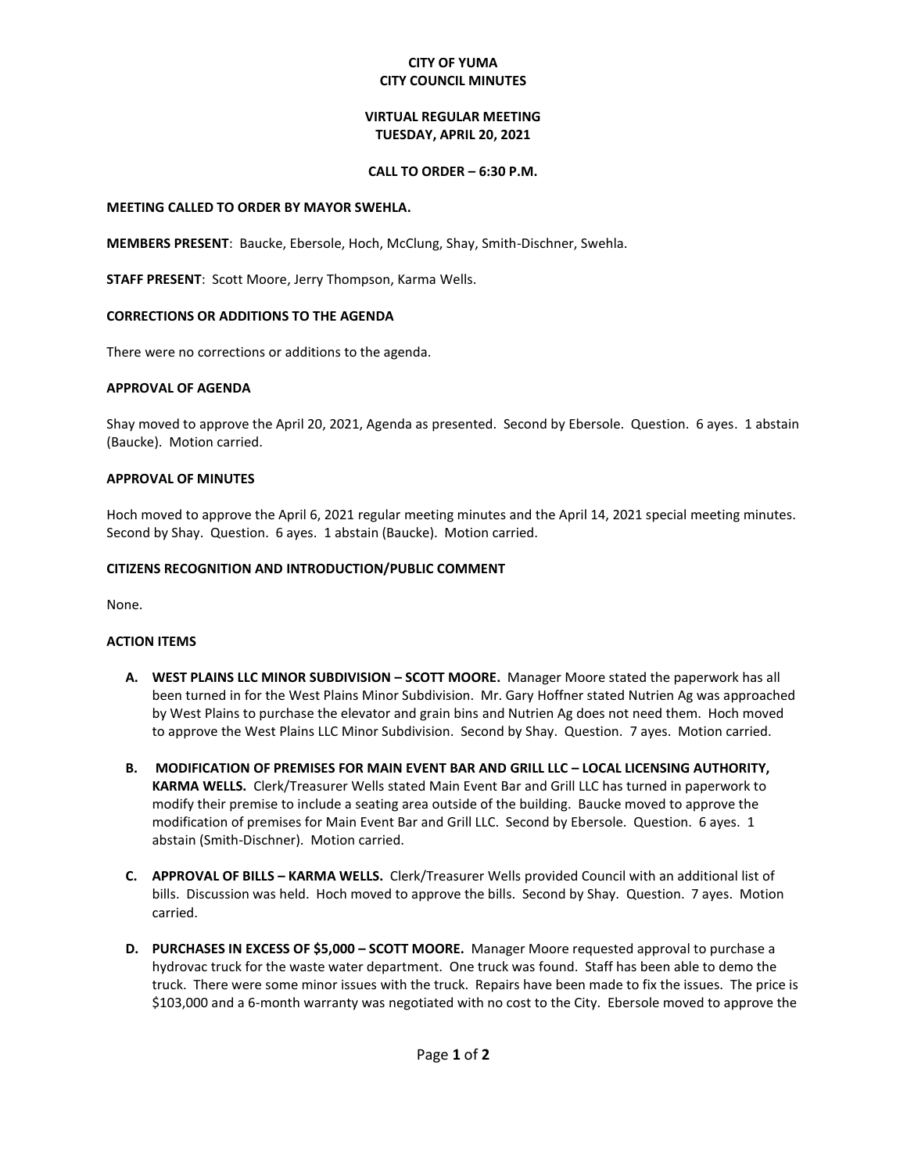# **CITY OF YUMA CITY COUNCIL MINUTES**

# **VIRTUAL REGULAR MEETING TUESDAY, APRIL 20, 2021**

## **CALL TO ORDER – 6:30 P.M.**

### **MEETING CALLED TO ORDER BY MAYOR SWEHLA.**

**MEMBERS PRESENT**: Baucke, Ebersole, Hoch, McClung, Shay, Smith-Dischner, Swehla.

**STAFF PRESENT**: Scott Moore, Jerry Thompson, Karma Wells.

## **CORRECTIONS OR ADDITIONS TO THE AGENDA**

There were no corrections or additions to the agenda.

### **APPROVAL OF AGENDA**

Shay moved to approve the April 20, 2021, Agenda as presented. Second by Ebersole. Question. 6 ayes. 1 abstain (Baucke). Motion carried.

### **APPROVAL OF MINUTES**

Hoch moved to approve the April 6, 2021 regular meeting minutes and the April 14, 2021 special meeting minutes. Second by Shay. Question. 6 ayes. 1 abstain (Baucke). Motion carried.

### **CITIZENS RECOGNITION AND INTRODUCTION/PUBLIC COMMENT**

None.

#### **ACTION ITEMS**

- **A. WEST PLAINS LLC MINOR SUBDIVISION – SCOTT MOORE.** Manager Moore stated the paperwork has all been turned in for the West Plains Minor Subdivision. Mr. Gary Hoffner stated Nutrien Ag was approached by West Plains to purchase the elevator and grain bins and Nutrien Ag does not need them. Hoch moved to approve the West Plains LLC Minor Subdivision. Second by Shay. Question. 7 ayes. Motion carried.
- **B. MODIFICATION OF PREMISES FOR MAIN EVENT BAR AND GRILL LLC – LOCAL LICENSING AUTHORITY, KARMA WELLS.** Clerk/Treasurer Wells stated Main Event Bar and Grill LLC has turned in paperwork to modify their premise to include a seating area outside of the building. Baucke moved to approve the modification of premises for Main Event Bar and Grill LLC. Second by Ebersole. Question. 6 ayes. 1 abstain (Smith-Dischner). Motion carried.
- **C. APPROVAL OF BILLS – KARMA WELLS.** Clerk/Treasurer Wells provided Council with an additional list of bills. Discussion was held. Hoch moved to approve the bills. Second by Shay. Question. 7 ayes. Motion carried.
- **D. PURCHASES IN EXCESS OF \$5,000 – SCOTT MOORE.** Manager Moore requested approval to purchase a hydrovac truck for the waste water department. One truck was found. Staff has been able to demo the truck. There were some minor issues with the truck. Repairs have been made to fix the issues. The price is \$103,000 and a 6-month warranty was negotiated with no cost to the City. Ebersole moved to approve the